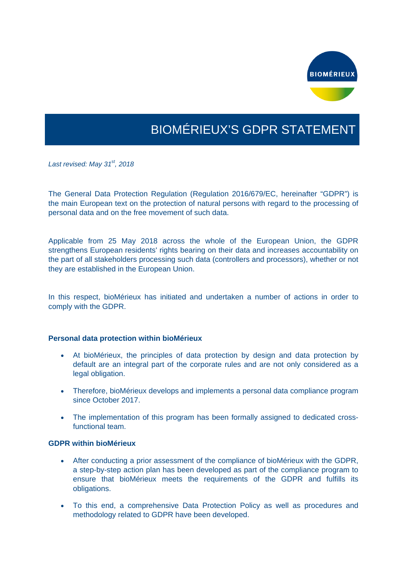

# BIOMÉRIEUX'S GDPR STATEMENT

*Last revised: May 31st, 2018* 

The General Data Protection Regulation (Regulation 2016/679/EC, hereinafter "GDPR") is the main European text on the protection of natural persons with regard to the processing of personal data and on the free movement of such data.

Applicable from 25 May 2018 across the whole of the European Union, the GDPR strengthens European residents' rights bearing on their data and increases accountability on the part of all stakeholders processing such data (controllers and processors), whether or not they are established in the European Union.

In this respect, bioMérieux has initiated and undertaken a number of actions in order to comply with the GDPR.

#### **Personal data protection within bioMérieux**

- At bioMérieux, the principles of data protection by design and data protection by default are an integral part of the corporate rules and are not only considered as a legal obligation.
- Therefore, bioMérieux develops and implements a personal data compliance program since October 2017.
- The implementation of this program has been formally assigned to dedicated crossfunctional team.

#### **GDPR within bioMérieux**

- After conducting a prior assessment of the compliance of bioMérieux with the GDPR, a step-by-step action plan has been developed as part of the compliance program to ensure that bioMérieux meets the requirements of the GDPR and fulfills its obligations.
- To this end, a comprehensive Data Protection Policy as well as procedures and methodology related to GDPR have been developed.